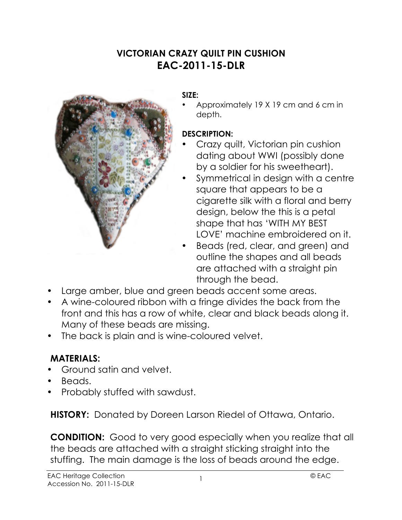# **VICTORIAN CRAZY QUILT PIN CUSHION EAC-2011-15-DLR**



### **SIZE:**

• Approximately 19 X 19 cm and 6 cm in depth.

### **DESCRIPTION:**

- Crazy quilt, Victorian pin cushion dating about WWI (possibly done by a soldier for his sweetheart).
- Symmetrical in design with a centre square that appears to be a cigarette silk with a floral and berry design, below the this is a petal shape that has 'WITH MY BEST LOVE' machine embroidered on it.
- Beads (red, clear, and green) and outline the shapes and all beads are attached with a straight pin through the bead.
- Large amber, blue and green beads accent some areas.
- A wine-coloured ribbon with a fringe divides the back from the front and this has a row of white, clear and black beads along it. Many of these beads are missing.
- The back is plain and is wine-coloured velvet.

## **MATERIALS:**

- Ground satin and velvet.
- Beads.
- Probably stuffed with sawdust.

**HISTORY:** Donated by Doreen Larson Riedel of Ottawa, Ontario.

**CONDITION:** Good to very good especially when you realize that all the beads are attached with a straight sticking straight into the stuffing. The main damage is the loss of beads around the edge.

1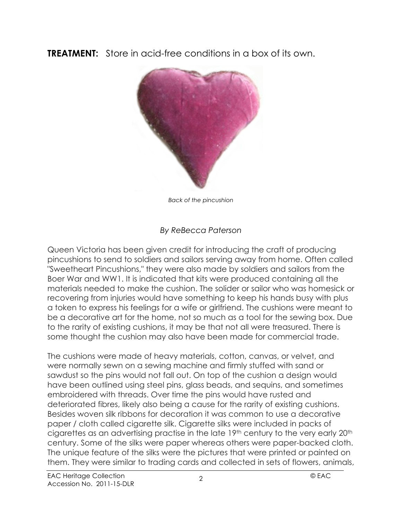**TREATMENT:** Store in acid-free conditions in a box of its own.



*Back of the pincushion*

## *By ReBecca Paterson*

Queen Victoria has been given credit for introducing the craft of producing pincushions to send to soldiers and sailors serving away from home. Often called "Sweetheart Pincushions," they were also made by soldiers and sailors from the Boer War and WW1. It is indicated that kits were produced containing all the materials needed to make the cushion. The solider or sailor who was homesick or recovering from injuries would have something to keep his hands busy with plus a token to express his feelings for a wife or girlfriend. The cushions were meant to be a decorative art for the home, not so much as a tool for the sewing box. Due to the rarity of existing cushions, it may be that not all were treasured. There is some thought the cushion may also have been made for commercial trade.

The cushions were made of heavy materials, cotton, canvas, or velvet, and were normally sewn on a sewing machine and firmly stuffed with sand or sawdust so the pins would not fall out. On top of the cushion a design would have been outlined using steel pins, glass beads, and sequins, and sometimes embroidered with threads. Over time the pins would have rusted and deteriorated fibres, likely also being a cause for the rarity of existing cushions. Besides woven silk ribbons for decoration it was common to use a decorative paper / cloth called cigarette silk. Cigarette silks were included in packs of cigarettes as an advertising practise in the late 19th century to the very early 20th century. Some of the silks were paper whereas others were paper-backed cloth. The unique feature of the silks were the pictures that were printed or painted on them. They were similar to trading cards and collected in sets of flowers, animals,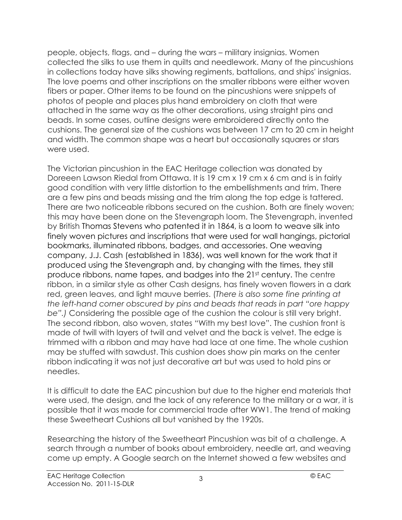people, objects, flags, and – during the wars – military insignias. Women collected the silks to use them in quilts and needlework. Many of the pincushions in collections today have silks showing regiments, battalions, and ships' insignias. The love poems and other inscriptions on the smaller ribbons were either woven fibers or paper. Other items to be found on the pincushions were snippets of photos of people and places plus hand embroidery on cloth that were attached in the same way as the other decorations, using straight pins and beads. In some cases, outline designs were embroidered directly onto the cushions. The general size of the cushions was between 17 cm to 20 cm in height and width. The common shape was a heart but occasionally squares or stars were used.

The Victorian pincushion in the EAC Heritage collection was donated by Doreeen Lawson Riedal from Ottawa. It is 19 cm x 19 cm x 6 cm and is in fairly good condition with very little distortion to the embellishments and trim. There are a few pins and beads missing and the trim along the top edge is tattered. There are two noticeable ribbons secured on the cushion. Both are finely woven; this may have been done on the Stevengraph loom. The Stevengraph, invented by British Thomas Stevens who patented it in 1864, is a loom to weave silk into finely woven pictures and inscriptions that were used for wall hangings, pictorial bookmarks, illuminated ribbons, badges, and accessories. One weaving company, J.J. Cash (established in 1836), was well known for the work that it produced using the Stevengraph and, by changing with the times, they still produce ribbons, name tapes, and badges into the 21st century. The centre ribbon, in a similar style as other Cash designs, has finely woven flowers in a dark red, green leaves, and light mauve berries. (*There is also some fine printing at the left-hand corner obscured by pins and beads that reads in part "ore happy be".)* Considering the possible age of the cushion the colour is still very bright. The second ribbon, also woven, states "With my best love". The cushion front is made of twill with layers of twill and velvet and the back is velvet. The edge is trimmed with a ribbon and may have had lace at one time. The whole cushion may be stuffed with sawdust. This cushion does show pin marks on the center ribbon indicating it was not just decorative art but was used to hold pins or needles.

It is difficult to date the EAC pincushion but due to the higher end materials that were used, the design, and the lack of any reference to the military or a war, it is possible that it was made for commercial trade after WW1. The trend of making these Sweetheart Cushions all but vanished by the 1920s.

Researching the history of the Sweetheart Pincushion was bit of a challenge. A search through a number of books about embroidery, needle art, and weaving come up empty. A Google search on the Internet showed a few websites and